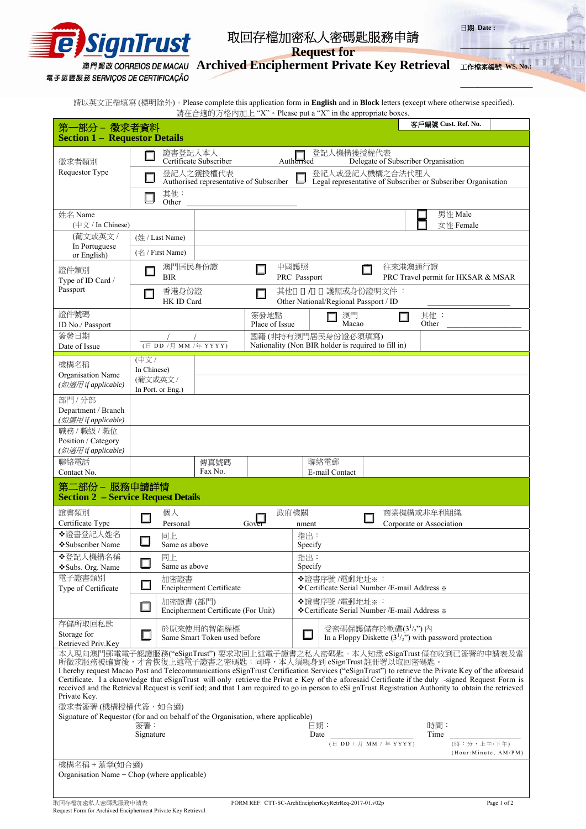

## 取回存檔加密私人密碼匙服務申請

日期 **Date :** 

**\_\_\_\_\_\_\_\_\_\_\_\_\_\_\_\_\_\_\_\_** 

**Request for** 

**Archived Encipherment Private Key Retrieval**  工作檔案編號 **WS. No.:**

電子認證服務 SERVIÇOS DE CERTIFICAÇÃO

**\_\_\_\_\_\_\_\_\_\_\_\_\_\_\_\_\_\_\_\_\_**

請以英文正楷填寫 (標明除外)。Please complete this application form in **English** and in **Block** letters (except where otherwise specified). 請在合適的方格內加上 "X"。Please put a "X" in the appropriate boxes.

| 第一部分 – 徵求者資料                                                                                                                                                                                                                                                                                                                                                                                                                                                                                                                                                                                                             |                                     |                                                         |                                            |                        |                                                                       |                                                                           |             |                                        |              | 客戶編號 Cust. Ref. No.                                     |                       |
|--------------------------------------------------------------------------------------------------------------------------------------------------------------------------------------------------------------------------------------------------------------------------------------------------------------------------------------------------------------------------------------------------------------------------------------------------------------------------------------------------------------------------------------------------------------------------------------------------------------------------|-------------------------------------|---------------------------------------------------------|--------------------------------------------|------------------------|-----------------------------------------------------------------------|---------------------------------------------------------------------------|-------------|----------------------------------------|--------------|---------------------------------------------------------|-----------------------|
| <b>Section 1 - Requestor Details</b>                                                                                                                                                                                                                                                                                                                                                                                                                                                                                                                                                                                     |                                     |                                                         |                                            |                        |                                                                       |                                                                           |             |                                        |              |                                                         |                       |
| 徵求者類別                                                                                                                                                                                                                                                                                                                                                                                                                                                                                                                                                                                                                    |                                     | 證書登記人本人                                                 |                                            |                        |                                                                       | 登記人機構獲授權代表                                                                |             |                                        |              |                                                         |                       |
| Requestor Type                                                                                                                                                                                                                                                                                                                                                                                                                                                                                                                                                                                                           | Certificate Subscriber<br>登記人之獲授權代表 |                                                         |                                            |                        |                                                                       | Delegate of Subscriber Organisation<br>Authorised<br>登記人或登記人機構之合法代理人      |             |                                        |              |                                                         |                       |
|                                                                                                                                                                                                                                                                                                                                                                                                                                                                                                                                                                                                                          |                                     | 其他:                                                     | Authorised representative of Subscriber    |                        |                                                                       | Legal representative of Subscriber or Subscriber Organisation             |             |                                        |              |                                                         |                       |
| 姓名 Name                                                                                                                                                                                                                                                                                                                                                                                                                                                                                                                                                                                                                  |                                     | Other                                                   |                                            |                        |                                                                       |                                                                           |             |                                        |              | 男性 Male                                                 |                       |
| (中文 / In Chinese)                                                                                                                                                                                                                                                                                                                                                                                                                                                                                                                                                                                                        |                                     |                                                         |                                            |                        |                                                                       |                                                                           |             |                                        |              | 女性 Female                                               |                       |
| (葡文或英文 /<br>In Portuguese                                                                                                                                                                                                                                                                                                                                                                                                                                                                                                                                                                                                |                                     | (姓 / Last Name)<br>$(\frac{\cancel{2}}{1})$ First Name) |                                            |                        |                                                                       |                                                                           |             |                                        |              |                                                         |                       |
| or English)<br>證件類別                                                                                                                                                                                                                                                                                                                                                                                                                                                                                                                                                                                                      | 澳門居民身份證                             |                                                         |                                            | Δ                      | 中國護照                                                                  |                                                                           |             | 往來港澳通行證                                |              |                                                         |                       |
| Type of ID Card /<br>Passport                                                                                                                                                                                                                                                                                                                                                                                                                                                                                                                                                                                            |                                     | <b>BIR</b>                                              |                                            |                        | PRC Passport                                                          |                                                                           |             |                                        |              | PRC Travel permit for HKSAR & MSAR                      |                       |
|                                                                                                                                                                                                                                                                                                                                                                                                                                                                                                                                                                                                                          | ш                                   | 香港身份證<br>HK ID Card                                     |                                            | 其他<br>П                |                                                                       | 護照或身份證明文件:<br>Other National/Regional Passport / ID                       |             |                                        |              |                                                         |                       |
| 證件號碼<br>ID No./ Passport                                                                                                                                                                                                                                                                                                                                                                                                                                                                                                                                                                                                 |                                     |                                                         |                                            | 簽發地點<br>Place of Issue |                                                                       | 澳門<br>Macao                                                               |             |                                        | 其他:<br>Other |                                                         |                       |
| 簽發日期<br>Date of Issue                                                                                                                                                                                                                                                                                                                                                                                                                                                                                                                                                                                                    |                                     | (日 DD /月 MM /年 YYYY)                                    |                                            |                        |                                                                       | 國籍(非持有澳門居民身份證必須填寫)<br>Nationality (Non BIR holder is required to fill in) |             |                                        |              |                                                         |                       |
| 機構名稱                                                                                                                                                                                                                                                                                                                                                                                                                                                                                                                                                                                                                     | (中文/                                |                                                         |                                            |                        |                                                                       |                                                                           |             |                                        |              |                                                         |                       |
| Organisation Name<br>(如適用 if applicable)                                                                                                                                                                                                                                                                                                                                                                                                                                                                                                                                                                                 | In Chinese)<br>(葡文或英文 /             |                                                         |                                            |                        |                                                                       |                                                                           |             |                                        |              |                                                         |                       |
| 部門/分部                                                                                                                                                                                                                                                                                                                                                                                                                                                                                                                                                                                                                    |                                     | In Port. or Eng.)                                       |                                            |                        |                                                                       |                                                                           |             |                                        |              |                                                         |                       |
| Department / Branch<br>(如適用 if applicable)                                                                                                                                                                                                                                                                                                                                                                                                                                                                                                                                                                               |                                     |                                                         |                                            |                        |                                                                       |                                                                           |             |                                        |              |                                                         |                       |
| 職務 / 職級 / 職位<br>Position / Category                                                                                                                                                                                                                                                                                                                                                                                                                                                                                                                                                                                      |                                     |                                                         |                                            |                        |                                                                       |                                                                           |             |                                        |              |                                                         |                       |
| (如適用 if applicable)<br>聯絡電話                                                                                                                                                                                                                                                                                                                                                                                                                                                                                                                                                                                              |                                     |                                                         |                                            |                        |                                                                       | 聯絡電郵                                                                      |             |                                        |              |                                                         |                       |
| Contact No.                                                                                                                                                                                                                                                                                                                                                                                                                                                                                                                                                                                                              |                                     |                                                         | 傳真號碼<br>Fax No.                            |                        |                                                                       | E-mail Contact                                                            |             |                                        |              |                                                         |                       |
| 第二部份 – 服務申請詳情<br><b>Section 2 - Service Request Details</b>                                                                                                                                                                                                                                                                                                                                                                                                                                                                                                                                                              |                                     |                                                         |                                            |                        |                                                                       |                                                                           |             |                                        |              |                                                         |                       |
| 證書類別<br>Certificate Type                                                                                                                                                                                                                                                                                                                                                                                                                                                                                                                                                                                                 | ш                                   | 個人<br>Personal                                          |                                            | $Go\sqrt{er}$          | 政府機關<br>nment                                                         |                                                                           | П           | 商業機構或非牟利組織<br>Corporate or Association |              |                                                         |                       |
| ◆證書登記人姓名<br>❖ Subscriber Name                                                                                                                                                                                                                                                                                                                                                                                                                                                                                                                                                                                            | ப                                   | 同上<br>Same as above                                     |                                            |                        | 指出:                                                                   |                                                                           |             |                                        |              |                                                         |                       |
| ◆登記人機構名稱                                                                                                                                                                                                                                                                                                                                                                                                                                                                                                                                                                                                                 |                                     | 同上                                                      |                                            |                        | Specify<br>指出:                                                        |                                                                           |             |                                        |              |                                                         |                       |
| ❖Subs. Org. Name<br>電子證書類別                                                                                                                                                                                                                                                                                                                                                                                                                                                                                                                                                                                               | $\Box$                              | Same as above<br>加密證書                                   |                                            |                        | Specify                                                               | ◆證書序號/電郵地址※:                                                              |             |                                        |              |                                                         |                       |
| Type of Certificate                                                                                                                                                                                                                                                                                                                                                                                                                                                                                                                                                                                                      | □                                   |                                                         | Encipherment Certificate                   |                        | ❖ Certificate Serial Number / E-mail Address ※                        |                                                                           |             |                                        |              |                                                         |                       |
|                                                                                                                                                                                                                                                                                                                                                                                                                                                                                                                                                                                                                          | $\Box$                              | 加密證書 (部門)                                               | Encipherment Certificate (For Unit)        |                        | <b>◆證書序號/電郵地址※:</b><br>❖ Certificate Serial Number / E-mail Address ※ |                                                                           |             |                                        |              |                                                         |                       |
| 存儲所取回私匙<br>Storage for<br>Retrieved Priv.Key                                                                                                                                                                                                                                                                                                                                                                                                                                                                                                                                                                             |                                     |                                                         | 於原來使用的智能權標<br>Same Smart Token used before |                        |                                                                       | 受密碼保護儲存於軟碟(31/2")內                                                        |             |                                        |              | In a Floppy Diskette $(31/2n)$ with password protection |                       |
| 本人現向澳門郵電電子認證服務("eSignTrust") 要求取回上述電子證書之私人密碼匙。本人知悉 eSignTrust 僅在收到已簽署的申請表及當<br>所徵求服務被確實後,才會恢復上述電子證書之密碼匙;同時,本人須親身到 eSignTrust 註冊署以取回密碼匙。<br>I hereby request Macao Post and Telecommunications eSignTrust Certification Services ("eSignTrust") to retrieve the Private Key of the aforesaid<br>Certificate. I a cknowledge that eSignTrust will only retrieve the Privat e Key of the aforesaid Certificate if the duly -signed Request Form is<br>received and the Retrieval Request is verif ied; and that I am required to go in person to eSi gnTrust Registration Authority to obtain the retrieved<br>Private Key. |                                     |                                                         |                                            |                        |                                                                       |                                                                           |             |                                        |              |                                                         |                       |
| 徵求者簽署(機構授權代簽,如合適)<br>Signature of Requestor (for and on behalf of the Organisation, where applicable)                                                                                                                                                                                                                                                                                                                                                                                                                                                                                                                    |                                     |                                                         |                                            |                        |                                                                       |                                                                           |             |                                        |              |                                                         |                       |
|                                                                                                                                                                                                                                                                                                                                                                                                                                                                                                                                                                                                                          |                                     |                                                         | Date                                       | 日期:                    |                                                                       |                                                                           | 時間:<br>Time |                                        |              |                                                         |                       |
|                                                                                                                                                                                                                                                                                                                                                                                                                                                                                                                                                                                                                          |                                     |                                                         |                                            |                        |                                                                       | (日 DD / 月 MM / 年 YYYY)                                                    |             |                                        |              | (時:分,上午/下午)                                             | (Hour: Minute, AM/PM) |
| 機構名稱 + 蓋章(如合適)<br>Organisation Name + Chop (where applicable)                                                                                                                                                                                                                                                                                                                                                                                                                                                                                                                                                            |                                     |                                                         |                                            |                        |                                                                       |                                                                           |             |                                        |              |                                                         |                       |
|                                                                                                                                                                                                                                                                                                                                                                                                                                                                                                                                                                                                                          |                                     |                                                         |                                            |                        |                                                                       |                                                                           |             |                                        |              |                                                         |                       |
|                                                                                                                                                                                                                                                                                                                                                                                                                                                                                                                                                                                                                          |                                     |                                                         |                                            |                        |                                                                       |                                                                           |             |                                        |              |                                                         |                       |